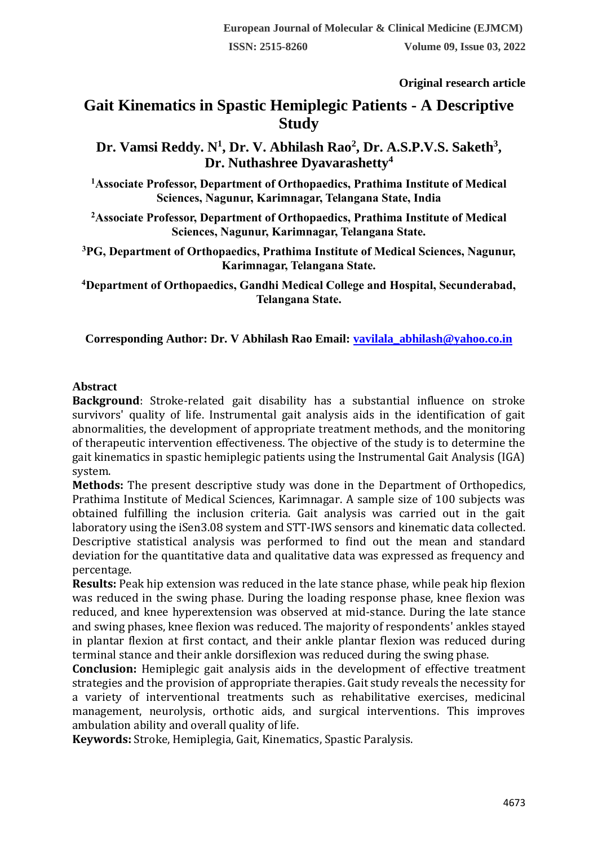**Original research article** 

# **Gait Kinematics in Spastic Hemiplegic Patients - A Descriptive Study**

**Dr. Vamsi Reddy. N<sup>1</sup> , Dr. V. Abhilash Rao<sup>2</sup> , Dr. A.S.P.V.S. Saketh<sup>3</sup> , Dr. Nuthashree Dyavarashetty<sup>4</sup>**

**<sup>1</sup>Associate Professor, Department of Orthopaedics, Prathima Institute of Medical Sciences, Nagunur, Karimnagar, Telangana State, India**

**<sup>2</sup>Associate Professor, Department of Orthopaedics, Prathima Institute of Medical Sciences, Nagunur, Karimnagar, Telangana State.**

**<sup>3</sup>PG, Department of Orthopaedics, Prathima Institute of Medical Sciences, Nagunur, Karimnagar, Telangana State.**

**<sup>4</sup>Department of Orthopaedics, Gandhi Medical College and Hospital, Secunderabad, Telangana State.**

**Corresponding Author: Dr. V Abhilash Rao Email: [vavilala\\_abhilash@yahoo.co.in](mailto:vavilala_abhilash@yahoo.co.in)** 

### **Abstract**

**Background**: Stroke-related gait disability has a substantial influence on stroke survivors' quality of life. Instrumental gait analysis aids in the identification of gait abnormalities, the development of appropriate treatment methods, and the monitoring of therapeutic intervention effectiveness. The objective of the study is to determine the gait kinematics in spastic hemiplegic patients using the Instrumental Gait Analysis (IGA) system.

**Methods:** The present descriptive study was done in the Department of Orthopedics, Prathima Institute of Medical Sciences, Karimnagar. A sample size of 100 subjects was obtained fulfilling the inclusion criteria. Gait analysis was carried out in the gait laboratory using the iSen3.08 system and STT-IWS sensors and kinematic data collected. Descriptive statistical analysis was performed to find out the mean and standard deviation for the quantitative data and qualitative data was expressed as frequency and percentage.

**Results:** Peak hip extension was reduced in the late stance phase, while peak hip flexion was reduced in the swing phase. During the loading response phase, knee flexion was reduced, and knee hyperextension was observed at mid-stance. During the late stance and swing phases, knee flexion was reduced. The majority of respondents' ankles stayed in plantar flexion at first contact, and their ankle plantar flexion was reduced during terminal stance and their ankle dorsiflexion was reduced during the swing phase.

**Conclusion:** Hemiplegic gait analysis aids in the development of effective treatment strategies and the provision of appropriate therapies. Gait study reveals the necessity for a variety of interventional treatments such as rehabilitative exercises, medicinal management, neurolysis, orthotic aids, and surgical interventions. This improves ambulation ability and overall quality of life.

**Keywords:** Stroke, Hemiplegia, Gait, Kinematics, Spastic Paralysis.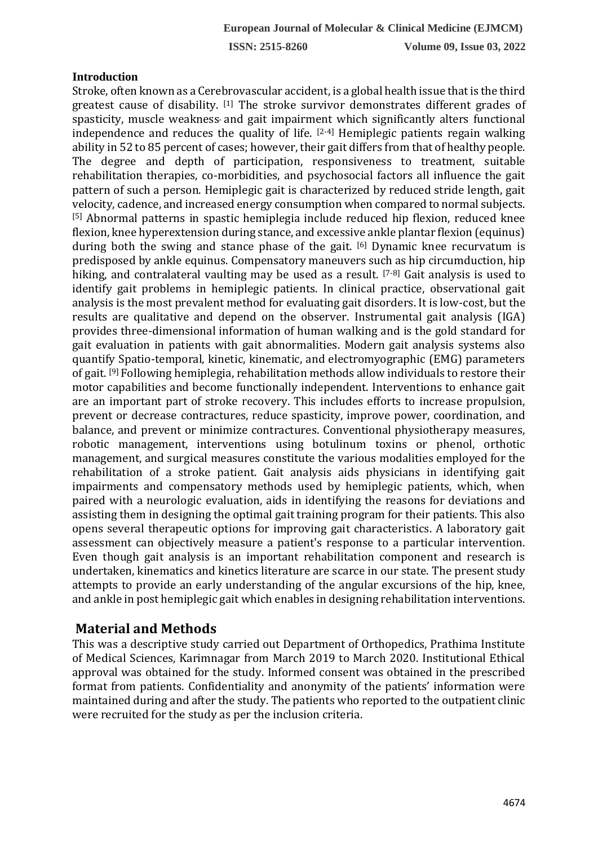### **Introduction**

Stroke, often known as a Cerebrovascular accident, is a global health issue that is the third greatest cause of disability. [1] The stroke survivor demonstrates different grades of spasticity, muscle weakness and gait impairment which significantly alters functional independence and reduces the quality of life.  $[2-4]$  Hemiplegic patients regain walking ability in 52 to 85 percent of cases; however, their gait differs from that of healthy people. The degree and depth of participation, responsiveness to treatment, suitable rehabilitation therapies, co-morbidities, and psychosocial factors all influence the gait pattern of such a person. Hemiplegic gait is characterized by reduced stride length, gait velocity, cadence, and increased energy consumption when compared to normal subjects. [5] Abnormal patterns in spastic hemiplegia include reduced hip flexion, reduced knee flexion, knee hyperextension during stance, and excessive ankle plantar flexion (equinus) during both the swing and stance phase of the gait. [6] Dynamic knee recurvatum is predisposed by ankle equinus. Compensatory maneuvers such as hip circumduction, hip hiking, and contralateral vaulting may be used as a result. [7-8] Gait analysis is used to identify gait problems in hemiplegic patients. In clinical practice, observational gait analysis is the most prevalent method for evaluating gait disorders. It is low-cost, but the results are qualitative and depend on the observer. Instrumental gait analysis (IGA) provides three-dimensional information of human walking and is the gold standard for gait evaluation in patients with gait abnormalities. Modern gait analysis systems also quantify Spatio-temporal, kinetic, kinematic, and electromyographic (EMG) parameters of gait. [9] Following hemiplegia, rehabilitation methods allow individuals to restore their motor capabilities and become functionally independent. Interventions to enhance gait are an important part of stroke recovery. This includes efforts to increase propulsion, prevent or decrease contractures, reduce spasticity, improve power, coordination, and balance, and prevent or minimize contractures. Conventional physiotherapy measures, robotic management, interventions using botulinum toxins or phenol, orthotic management, and surgical measures constitute the various modalities employed for the rehabilitation of a stroke patient. Gait analysis aids physicians in identifying gait impairments and compensatory methods used by hemiplegic patients, which, when paired with a neurologic evaluation, aids in identifying the reasons for deviations and assisting them in designing the optimal gait training program for their patients. This also opens several therapeutic options for improving gait characteristics. A laboratory gait assessment can objectively measure a patient's response to a particular intervention. Even though gait analysis is an important rehabilitation component and research is undertaken, kinematics and kinetics literature are scarce in our state. The present study attempts to provide an early understanding of the angular excursions of the hip, knee, and ankle in post hemiplegic gait which enables in designing rehabilitation interventions.

## **Material and Methods**

This was a descriptive study carried out Department of Orthopedics, Prathima Institute of Medical Sciences, Karimnagar from March 2019 to March 2020. Institutional Ethical approval was obtained for the study. Informed consent was obtained in the prescribed format from patients. Confidentiality and anonymity of the patients' information were maintained during and after the study. The patients who reported to the outpatient clinic were recruited for the study as per the inclusion criteria.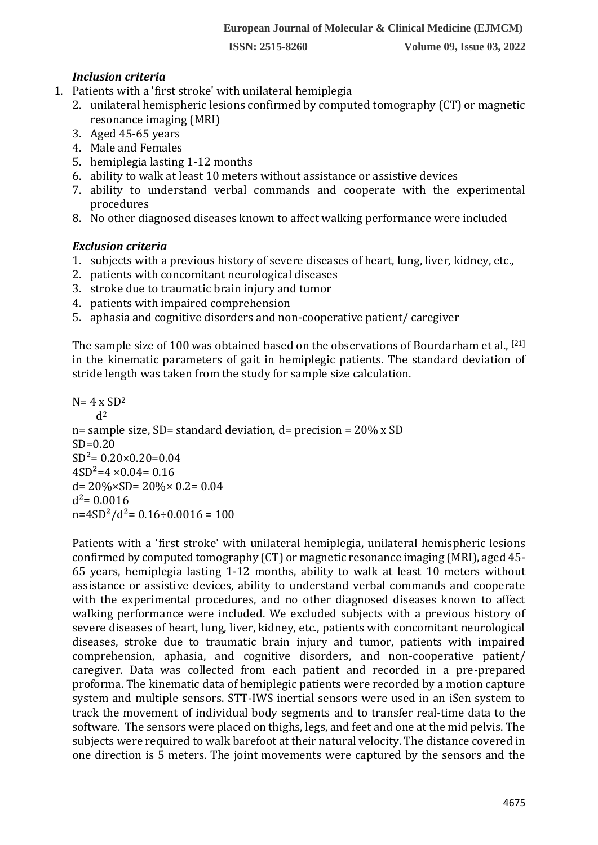**ISSN: 2515-8260 Volume 09, Issue 03, 2022**

### *Inclusion criteria*

- 1. Patients with a 'first stroke' with unilateral hemiplegia
	- 2. unilateral hemispheric lesions confirmed by computed tomography (CT) or magnetic resonance imaging (MRI)
	- 3. Aged 45-65 years
	- 4. Male and Females
	- 5. hemiplegia lasting 1-12 months
	- 6. ability to walk at least 10 meters without assistance or assistive devices
	- 7. ability to understand verbal commands and cooperate with the experimental procedures
	- 8. No other diagnosed diseases known to affect walking performance were included

### *Exclusion criteria*

- 1. subjects with a previous history of severe diseases of heart, lung, liver, kidney, etc.,
- 2. patients with concomitant neurological diseases
- 3. stroke due to traumatic brain injury and tumor
- 4. patients with impaired comprehension
- 5. aphasia and cognitive disorders and non-cooperative patient/ caregiver

The sample size of 100 was obtained based on the observations of Bourdarham et al., [21] in the kinematic parameters of gait in hemiplegic patients. The standard deviation of stride length was taken from the study for sample size calculation.

 $N= 4 \times SD^2$  $d<sup>2</sup>$ n= sample size, SD= standard deviation,  $d=$  precision = 20% x SD  $SD=0.20$  $SD^2 = 0.20 \times 0.20 = 0.04$  $4SD^2=4 \times 0.04=0.16$  $d= 20\% \times SD = 20\% \times 0.2 = 0.04$  $d^2$ = 0.0016  $n=4SD^2/d^2=0.16\div0.0016=100$ 

Patients with a 'first stroke' with unilateral hemiplegia, unilateral hemispheric lesions confirmed by computed tomography (CT) or magnetic resonance imaging (MRI), aged 45- 65 years, hemiplegia lasting 1-12 months, ability to walk at least 10 meters without assistance or assistive devices, ability to understand verbal commands and cooperate with the experimental procedures, and no other diagnosed diseases known to affect walking performance were included. We excluded subjects with a previous history of severe diseases of heart, lung, liver, kidney, etc., patients with concomitant neurological diseases, stroke due to traumatic brain injury and tumor, patients with impaired comprehension, aphasia, and cognitive disorders, and non-cooperative patient/ caregiver. Data was collected from each patient and recorded in a pre-prepared proforma. The kinematic data of hemiplegic patients were recorded by a motion capture system and multiple sensors. STT-IWS inertial sensors were used in an iSen system to track the movement of individual body segments and to transfer real-time data to the software. The sensors were placed on thighs, legs, and feet and one at the mid pelvis. The subjects were required to walk barefoot at their natural velocity. The distance covered in one direction is 5 meters. The joint movements were captured by the sensors and the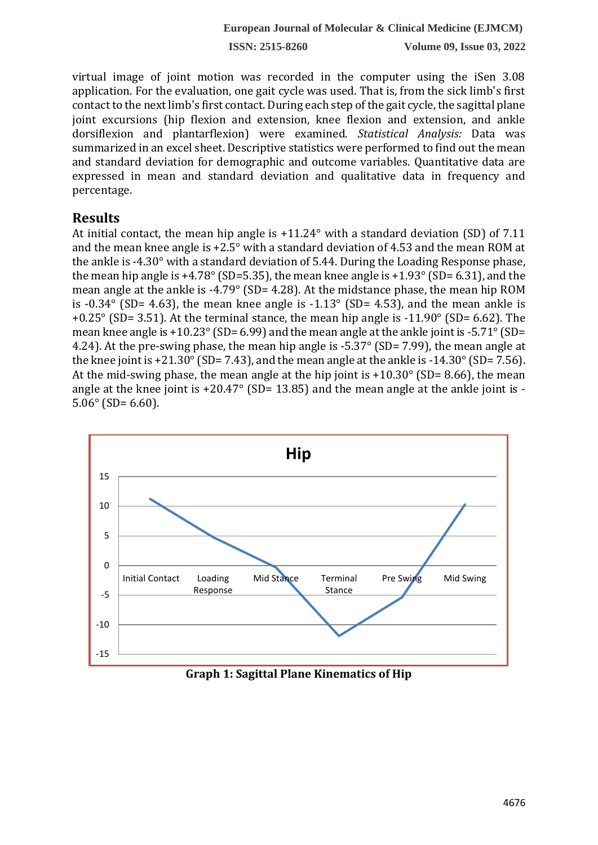**ISSN: 2515-8260 Volume 09, Issue 03, 2022**

virtual image of joint motion was recorded in the computer using the iSen 3.08 application. For the evaluation, one gait cycle was used. That is, from the sick limb's first contact to the next limb's first contact. During each step of the gait cycle, the sagittal plane joint excursions (hip flexion and extension, knee flexion and extension, and ankle dorsiflexion and plantarflexion) were examined. *Statistical Analysis:* Data was summarized in an excel sheet. Descriptive statistics were performed to find out the mean and standard deviation for demographic and outcome variables. Quantitative data are expressed in mean and standard deviation and qualitative data in frequency and percentage.

# **Results**

At initial contact, the mean hip angle is +11.24° with a standard deviation (SD) of 7.11 and the mean knee angle is +2.5° with a standard deviation of 4.53 and the mean ROM at the ankle is -4.30° with a standard deviation of 5.44. During the Loading Response phase, the mean hip angle is  $+4.78^{\circ}$  (SD=5.35), the mean knee angle is  $+1.93^{\circ}$  (SD= 6.31), and the mean angle at the ankle is -4.79° (SD= 4.28). At the midstance phase, the mean hip ROM is  $-0.34^\circ$  (SD= 4.63), the mean knee angle is  $-1.13^\circ$  (SD= 4.53), and the mean ankle is +0.25° (SD= 3.51). At the terminal stance, the mean hip angle is -11.90° (SD= 6.62). The mean knee angle is +10.23 $\degree$  (SD= 6.99) and the mean angle at the ankle joint is -5.71 $\degree$  (SD= 4.24). At the pre-swing phase, the mean hip angle is -5.37° (SD= 7.99), the mean angle at the knee joint is +21.30 $\degree$  (SD= 7.43), and the mean angle at the ankle is -14.30 $\degree$  (SD= 7.56). At the mid-swing phase, the mean angle at the hip joint is  $+10.30^{\circ}$  (SD= 8.66), the mean angle at the knee joint is +20.47° (SD= 13.85) and the mean angle at the ankle joint is - $5.06^{\circ}$  (SD= 6.60).



**Graph 1: Sagittal Plane Kinematics of Hip**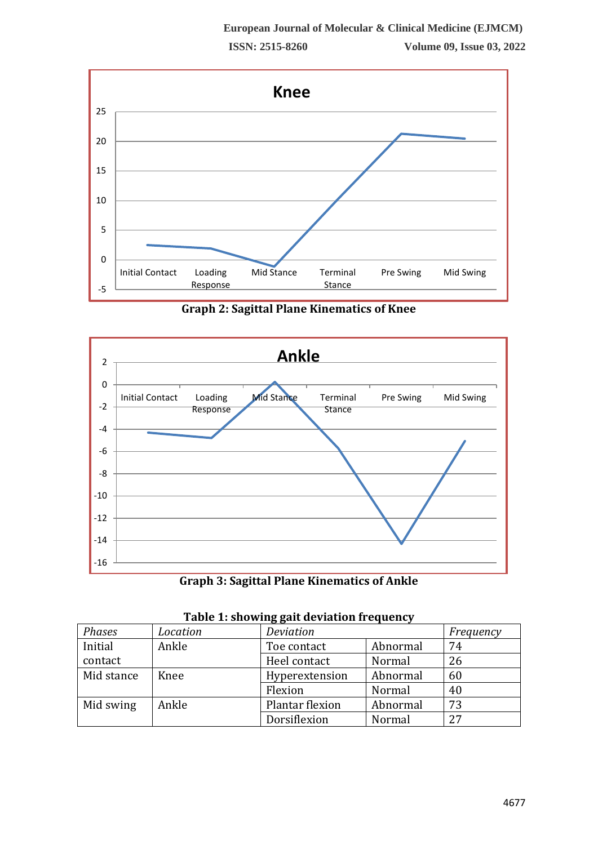

**Graph 2: Sagittal Plane Kinematics of Knee**



**Graph 3: Sagittal Plane Kinematics of Ankle**

| Table 1. Showing gait acviation if equency |          |                 |          |           |  |
|--------------------------------------------|----------|-----------------|----------|-----------|--|
| Phases                                     | Location | Deviation       |          | Frequency |  |
| Initial                                    | Ankle    | Toe contact     | Abnormal | 74        |  |
| contact                                    |          | Heel contact    | Normal   | 26        |  |
| Mid stance                                 | Knee     | Hyperextension  | Abnormal | 60        |  |
|                                            |          | Flexion         | Normal   | 40        |  |
| Mid swing                                  | Ankle    | Plantar flexion | Abnormal | 73        |  |
|                                            |          | Dorsiflexion    | Normal   | 27        |  |

|  | Table 1: showing gait deviation frequency |  |
|--|-------------------------------------------|--|
|  |                                           |  |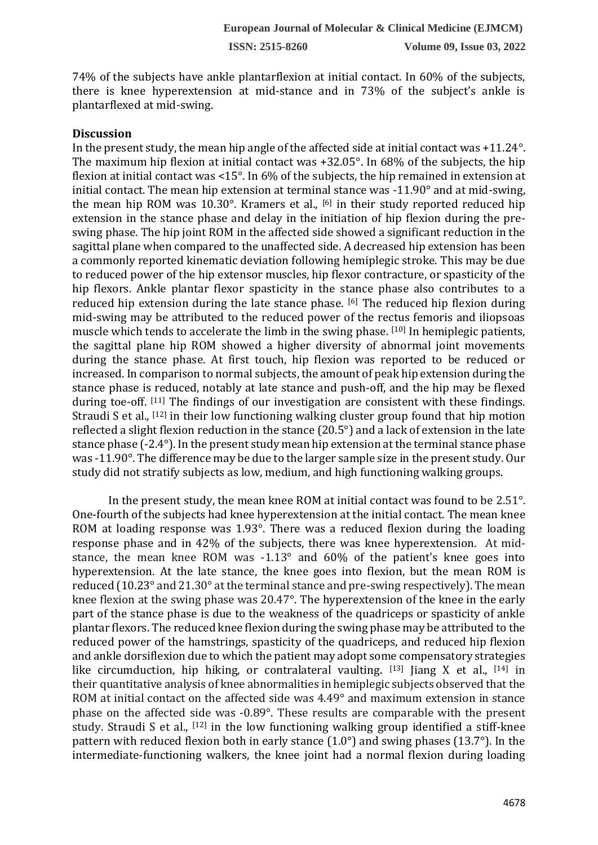74% of the subjects have ankle plantarflexion at initial contact. In 60% of the subjects, there is knee hyperextension at mid-stance and in 73% of the subject's ankle is plantarflexed at mid-swing.

#### **Discussion**

In the present study, the mean hip angle of the affected side at initial contact was +11.24°. The maximum hip flexion at initial contact was +32.05°. In 68% of the subjects, the hip flexion at initial contact was <15°. In 6% of the subjects, the hip remained in extension at initial contact. The mean hip extension at terminal stance was -11.90° and at mid-swing, the mean hip ROM was 10.30°. Kramers et al., [6] in their study reported reduced hip extension in the stance phase and delay in the initiation of hip flexion during the preswing phase. The hip joint ROM in the affected side showed a significant reduction in the sagittal plane when compared to the unaffected side. A decreased hip extension has been a commonly reported kinematic deviation following hemiplegic stroke. This may be due to reduced power of the hip extensor muscles, hip flexor contracture, or spasticity of the hip flexors. Ankle plantar flexor spasticity in the stance phase also contributes to a reduced hip extension during the late stance phase. [6] The reduced hip flexion during mid-swing may be attributed to the reduced power of the rectus femoris and iliopsoas muscle which tends to accelerate the limb in the swing phase. [10] In hemiplegic patients, the sagittal plane hip ROM showed a higher diversity of abnormal joint movements during the stance phase. At first touch, hip flexion was reported to be reduced or increased. In comparison to normal subjects, the amount of peak hip extension during the stance phase is reduced, notably at late stance and push-off, and the hip may be flexed during toe-off. [11] The findings of our investigation are consistent with these findings. Straudi S et al., [12] in their low functioning walking cluster group found that hip motion reflected a slight flexion reduction in the stance (20.5°) and a lack of extension in the late stance phase (-2.4°). In the present study mean hip extension at the terminal stance phase was -11.90°. The difference may be due to the larger sample size in the present study. Our study did not stratify subjects as low, medium, and high functioning walking groups.

In the present study, the mean knee ROM at initial contact was found to be 2.51°. One-fourth of the subjects had knee hyperextension at the initial contact. The mean knee ROM at loading response was 1.93°. There was a reduced flexion during the loading response phase and in 42% of the subjects, there was knee hyperextension. At midstance, the mean knee ROM was -1.13° and 60% of the patient's knee goes into hyperextension. At the late stance, the knee goes into flexion, but the mean ROM is reduced (10.23° and 21.30° at the terminal stance and pre-swing respectively). The mean knee flexion at the swing phase was 20.47°. The hyperextension of the knee in the early part of the stance phase is due to the weakness of the quadriceps or spasticity of ankle plantar flexors. The reduced knee flexion during the swing phase may be attributed to the reduced power of the hamstrings, spasticity of the quadriceps, and reduced hip flexion and ankle dorsiflexion due to which the patient may adopt some compensatory strategies like circumduction, hip hiking, or contralateral vaulting.  $[13]$  Jiang X et al.,  $[14]$  in their quantitative analysis of knee abnormalities in hemiplegic subjects observed that the ROM at initial contact on the affected side was 4.49° and maximum extension in stance phase on the affected side was -0.89°. These results are comparable with the present study. Straudi S et al., <a>[12]</a> in the low functioning walking group identified a stiff-knee pattern with reduced flexion both in early stance (1.0°) and swing phases (13.7°). In the intermediate-functioning walkers, the knee joint had a normal flexion during loading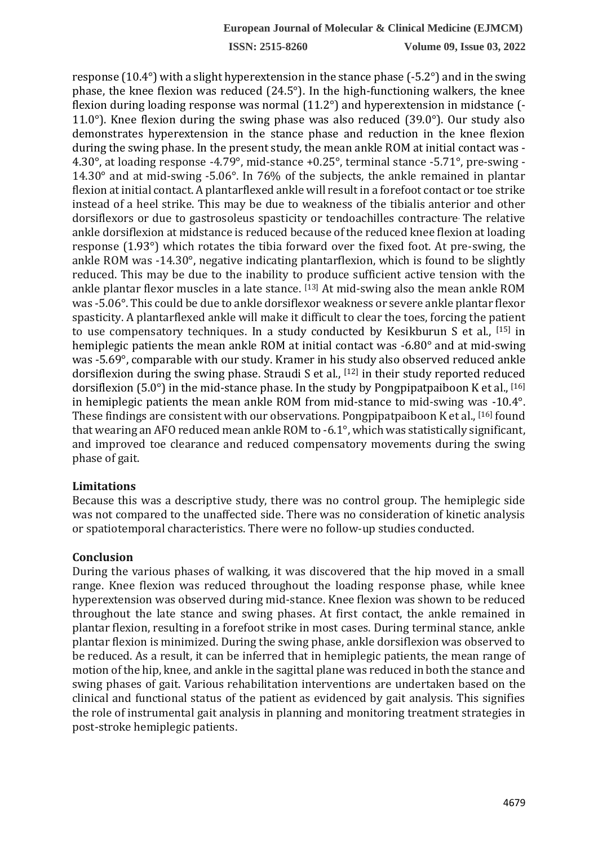**ISSN: 2515-8260 Volume 09, Issue 03, 2022**

response (10.4°) with a slight hyperextension in the stance phase (-5.2°) and in the swing phase, the knee flexion was reduced (24.5°). In the high-functioning walkers, the knee flexion during loading response was normal (11.2°) and hyperextension in midstance (- 11.0 $^{\circ}$ ). Knee flexion during the swing phase was also reduced (39.0 $^{\circ}$ ). Our study also demonstrates hyperextension in the stance phase and reduction in the knee flexion during the swing phase. In the present study, the mean ankle ROM at initial contact was - 4.30°, at loading response -4.79°, mid-stance +0.25°, terminal stance -5.71°, pre-swing - 14.30° and at mid-swing -5.06°. In 76% of the subjects, the ankle remained in plantar flexion at initial contact. A plantarflexed ankle will result in a forefoot contact or toe strike instead of a heel strike. This may be due to weakness of the tibialis anterior and other dorsiflexors or due to gastrosoleus spasticity or tendoachilles contracture. The relative ankle dorsiflexion at midstance is reduced because of the reduced knee flexion at loading response (1.93°) which rotates the tibia forward over the fixed foot. At pre-swing, the ankle ROM was -14.30°, negative indicating plantarflexion, which is found to be slightly reduced. This may be due to the inability to produce sufficient active tension with the ankle plantar flexor muscles in a late stance. [13] At mid-swing also the mean ankle ROM was -5.06°. This could be due to ankle dorsiflexor weakness or severe ankle plantar flexor spasticity. A plantarflexed ankle will make it difficult to clear the toes, forcing the patient to use compensatory techniques. In a study conducted by Kesikburun S et al., [15] in hemiplegic patients the mean ankle ROM at initial contact was -6.80° and at mid-swing was -5.69°, comparable with our study. Kramer in his study also observed reduced ankle dorsiflexion during the swing phase. Straudi S et al., [12] in their study reported reduced dorsiflexion (5.0 $^{\circ}$ ) in the mid-stance phase. In the study by Pongpipatpaiboon K et al., [16] in hemiplegic patients the mean ankle ROM from mid-stance to mid-swing was -10.4°. These findings are consistent with our observations. Pongpipatpaiboon K et al., [16] found that wearing an AFO reduced mean ankle ROM to -6.1°, which was statistically significant, and improved toe clearance and reduced compensatory movements during the swing phase of gait.

### **Limitations**

Because this was a descriptive study, there was no control group. The hemiplegic side was not compared to the unaffected side. There was no consideration of kinetic analysis or spatiotemporal characteristics. There were no follow-up studies conducted.

#### **Conclusion**

During the various phases of walking, it was discovered that the hip moved in a small range. Knee flexion was reduced throughout the loading response phase, while knee hyperextension was observed during mid-stance. Knee flexion was shown to be reduced throughout the late stance and swing phases. At first contact, the ankle remained in plantar flexion, resulting in a forefoot strike in most cases. During terminal stance, ankle plantar flexion is minimized. During the swing phase, ankle dorsiflexion was observed to be reduced. As a result, it can be inferred that in hemiplegic patients, the mean range of motion of the hip, knee, and ankle in the sagittal plane was reduced in both the stance and swing phases of gait. Various rehabilitation interventions are undertaken based on the clinical and functional status of the patient as evidenced by gait analysis. This signifies the role of instrumental gait analysis in planning and monitoring treatment strategies in post-stroke hemiplegic patients.